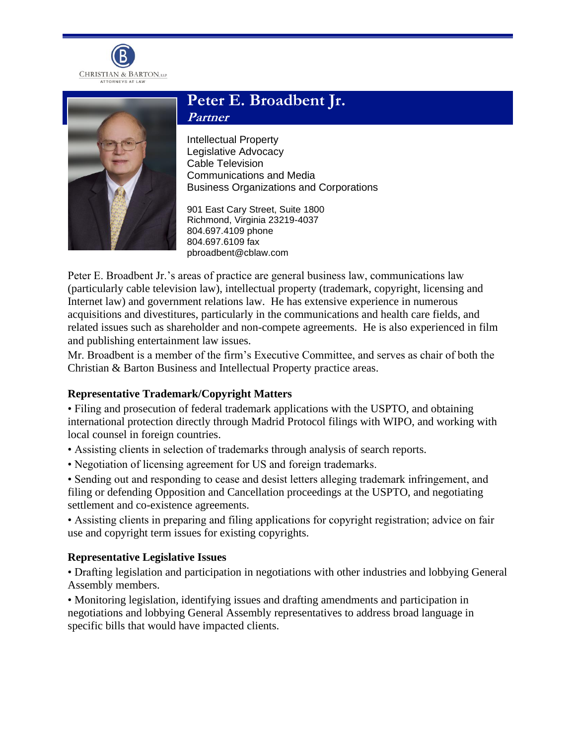



# **Peter E. Broadbent Jr. Partner**

Intellectual Property Legislative Advocacy Cable Television Communications and Media Business Organizations and Corporations

901 East Cary Street, Suite 1800 Richmond, Virginia 23219-4037 804.697.4109 phone 804.697.6109 fax pbroadbent@cblaw.com

Peter E. Broadbent Jr.'s areas of practice are general business law, communications law (particularly cable television law), intellectual property (trademark, copyright, licensing and Internet law) and government relations law. He has extensive experience in numerous acquisitions and divestitures, particularly in the communications and health care fields, and related issues such as shareholder and non-compete agreements. He is also experienced in film and publishing entertainment law issues.

Mr. Broadbent is a member of the firm's Executive Committee, and serves as chair of both the Christian & Barton Business and Intellectual Property practice areas.

## **Representative Trademark/Copyright Matters**

• Filing and prosecution of federal trademark applications with the USPTO, and obtaining international protection directly through Madrid Protocol filings with WIPO, and working with local counsel in foreign countries.

- Assisting clients in selection of trademarks through analysis of search reports.
- Negotiation of licensing agreement for US and foreign trademarks.

• Sending out and responding to cease and desist letters alleging trademark infringement, and filing or defending Opposition and Cancellation proceedings at the USPTO, and negotiating settlement and co-existence agreements.

• Assisting clients in preparing and filing applications for copyright registration; advice on fair use and copyright term issues for existing copyrights.

## **Representative Legislative Issues**

• Drafting legislation and participation in negotiations with other industries and lobbying General Assembly members.

• Monitoring legislation, identifying issues and drafting amendments and participation in negotiations and lobbying General Assembly representatives to address broad language in specific bills that would have impacted clients.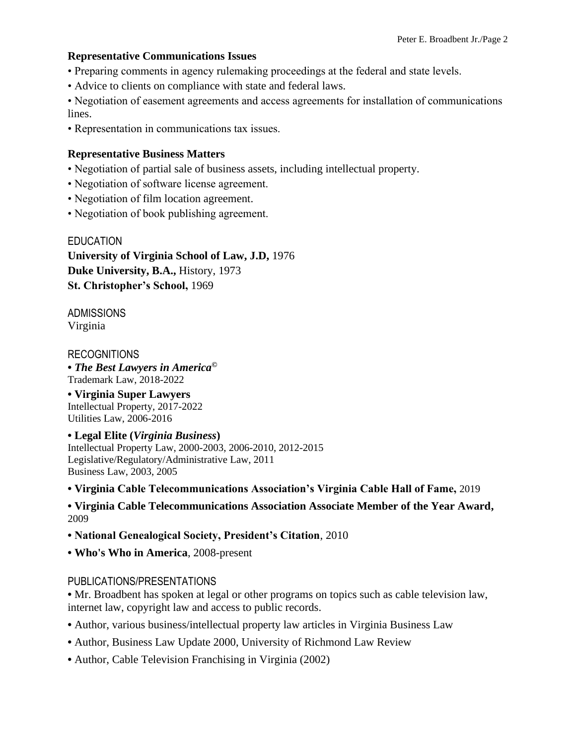## **Representative Communications Issues**

- Preparing comments in agency rulemaking proceedings at the federal and state levels.
- Advice to clients on compliance with state and federal laws.

• Negotiation of easement agreements and access agreements for installation of communications lines.

• Representation in communications tax issues.

## **Representative Business Matters**

- Negotiation of partial sale of business assets, including intellectual property.
- Negotiation of software license agreement.
- Negotiation of film location agreement.
- Negotiation of book publishing agreement.

EDUCATION **University of Virginia School of Law, J.D,** 1976 **Duke University, B.A.,** History, 1973 **St. Christopher's School,** 1969

ADMISSIONS Virginia

## RECOGNITIONS

**•** *The Best Lawyers in America©* Trademark Law, 2018-2022

**• Virginia Super Lawyers** Intellectual Property, 2017-2022 Utilities Law, 2006-2016

## **• Legal Elite (***Virginia Business***)**

Intellectual Property Law, 2000-2003, 2006-2010, 2012-2015 Legislative/Regulatory/Administrative Law, 2011 Business Law, 2003, 2005

**• Virginia Cable Telecommunications Association's Virginia Cable Hall of Fame,** 2019

**• Virginia Cable Telecommunications Association Associate Member of the Year Award,** 2009

**• National Genealogical Society, President's Citation**, 2010

**• Who's Who in America**, 2008-present

## PUBLICATIONS/PRESENTATIONS

• Mr. Broadbent has spoken at legal or other programs on topics such as cable television law, internet law, copyright law and access to public records.

- **•** Author, various business/intellectual property law articles in Virginia Business Law
- **•** Author, Business Law Update 2000, University of Richmond Law Review
- **•** Author, Cable Television Franchising in Virginia (2002)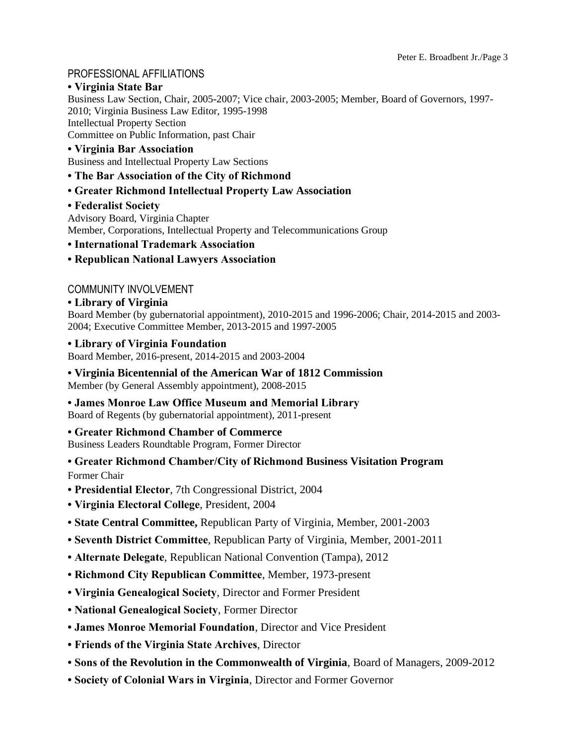## PROFESSIONAL AFFILIATIONS

#### **• Virginia State Bar**

Business Law Section, Chair, 2005-2007; Vice chair, 2003-2005; Member, Board of Governors, 1997- 2010; Virginia Business Law Editor, 1995-1998 Intellectual Property Section Committee on Public Information, past Chair

#### **• Virginia Bar Association**

Business and Intellectual Property Law Sections

#### **• The Bar Association of the City of Richmond**

#### **• Greater Richmond Intellectual Property Law Association**

#### **• Federalist Society**

Advisory Board, Virginia Chapter Member, Corporations, Intellectual Property and Telecommunications Group

#### **• International Trademark Association**

#### **• Republican National Lawyers Association**

#### COMMUNITY INVOLVEMENT

#### **• Library of Virginia**

Board Member (by gubernatorial appointment), 2010-2015 and 1996-2006; Chair, 2014-2015 and 2003- 2004; Executive Committee Member, 2013-2015 and 1997-2005

#### **• Library of Virginia Foundation**

Board Member, 2016-present, 2014-2015 and 2003-2004

# **• Virginia Bicentennial of the American War of 1812 Commission**

Member (by General Assembly appointment), 2008-2015

## **• James Monroe Law Office Museum and Memorial Library**

Board of Regents (by gubernatorial appointment), 2011-present

#### **• Greater Richmond Chamber of Commerce**

Business Leaders Roundtable Program, Former Director

## **• Greater Richmond Chamber/City of Richmond Business Visitation Program**

Former Chair

- **Presidential Elector**, 7th Congressional District, 2004
- **Virginia Electoral College**, President, 2004
- **State Central Committee,** Republican Party of Virginia, Member, 2001-2003
- **Seventh District Committee**, Republican Party of Virginia, Member, 2001-2011
- **Alternate Delegate**, Republican National Convention (Tampa), 2012
- **Richmond City Republican Committee**, Member, 1973-present
- **Virginia Genealogical Society**, Director and Former President
- **National Genealogical Society**, Former Director
- **James Monroe Memorial Foundation**, Director and Vice President
- **Friends of the Virginia State Archives**, Director
- **Sons of the Revolution in the Commonwealth of Virginia**, Board of Managers, 2009-2012
- **Society of Colonial Wars in Virginia**, Director and Former Governor